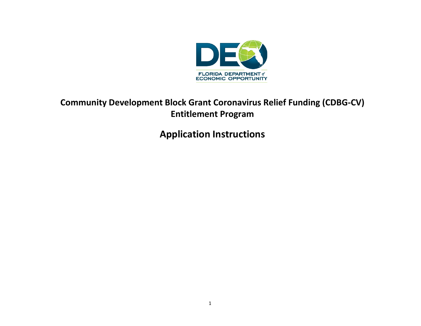

# **Community Development Block Grant Coronavirus Relief Funding (CDBG-CV) Entitlement Program**

**Application Instructions**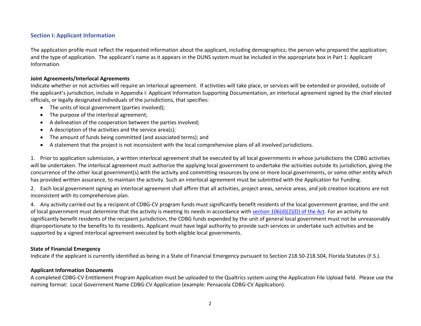# **Section I: Applicant Information**

The application profile must reflect the requested information about the applicant, including demographics; the person who prepared the application; and the type of application. The applicant's name as it appears in the DUNS system must be included in the appropriate box in Part 1: Applicant Information.

#### **Joint Agreements/Interlocal Agreements**

Indicate whether or not activities will require an interlocal agreement. If activities will take place, or services will be extended or provided, outside of the applicant's jurisdiction, include in Appendix I: Applicant Information Supporting Documentation, an interlocal agreement signed by the chief elected officials, or legally designated individuals of the jurisdictions, that specifies:

- The units of local government (parties involved);
- The purpose of the interlocal agreement;
- A delineation of the cooperation between the parties involved;
- A description of the activities and the service area(s);
- The amount of funds being committed (and associated terms); and
- A statement that the project is not inconsistent with the local comprehensive plans of all involved jurisdictions.

1. Prior to application submission, a written interlocal agreement shall be executed by all local governments in whose jurisdictions the CDBG activities will be undertaken. The interlocal agreement must authorize the applying local government to undertake the activities outside its jurisdiction, giving the concurrence of the other local government(s) with the activity and committing resources by one or more local governments, or some other entity which has provided written assurance, to maintain the activity. Such an interlocal agreement must be submitted with the Application for Funding.

2. Each local government signing an interlocal agreement shall affirm that all activities, project areas, service areas, and job creation locations are not inconsistent with its comprehensive plan.

4. Any activity carried out by a recipient of CDBG-CV program funds must significantly benefit residents of the local government grantee, and the unit of local government must determine that the activity is meeting its needs in accordance with section  $106(d)(2)(D)$  of the Act. For an activity to significantly benefit residents of the recipient jurisdiction, the CDBG funds expended by the unit of general local government must not be unreasonably disproportionate to the benefits to its residents. Applicant must have legal authority to provide such services or undertake such activities and be supported by a signed interlocal agreement executed by both eligible local governments.

#### **State of Financial Emergency**

Indicate if the applicant is currently identified as being in a State of Financial Emergency pursuant to Section 218.50-218.504, Florida Statutes (F.S.).

#### **Applicant Information Documents**

A completed CDBG-CV Entitlement Program Application must be uploaded to the Qualtrics system using the Application File Upload field. Please use the naming format: Local Government Name CDBG-CV Application (example: Pensacola CDBG-CV Application).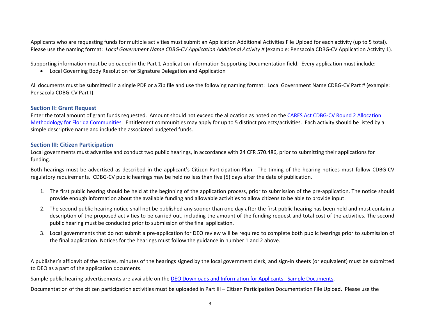Applicants who are requesting funds for multiple activities must submit an Application Additional Activities File Upload for each activity (up to 5 total). Please use the naming format: *Local Government Name CDBG-CV Application Additional Activity #* (example: Pensacola CDBG-CV Application Activity 1).

Supporting information must be uploaded in the Part 1-Application Information Supporting Documentation field. Every application must include:

• Local Governing Body Resolution for Signature Delegation and Application

All documents must be submitted in a single PDF or a Zip file and use the following naming format: Local Government Name CDBG-CV Part # (example: Pensacola CDBG-CV Part I).

#### **Section II: Grant Request**

Enter the total amount of grant funds requested. Amount should not exceed the allocation as noted on th[e CARES Act CDBG-CV Round 2 Allocation](https://floridajobs.org/docs/default-source/2015-community-development/community-revitalization/cdbg/cdbg-cv/cvallocationmethodology.pdf?sfvrsn=f8714ab0_2)  [Methodology for Florida Communities.](https://floridajobs.org/docs/default-source/2015-community-development/community-revitalization/cdbg/cdbg-cv/cvallocationmethodology.pdf?sfvrsn=f8714ab0_2) Entitlement communities may apply for up to 5 distinct projects/activities. Each activity should be listed by a simple descriptive name and include the associated budgeted funds.

#### **Section III: Citizen Participation**

Local governments must advertise and conduct two public hearings, in accordance with 24 CFR 570.486, prior to submitting their applications for funding.

Both hearings must be advertised as described in the applicant's Citizen Participation Plan. The timing of the hearing notices must follow CDBG-CV regulatory requirements. CDBG-CV public hearings may be held no less than five (5) days after the date of publication.

- 1. The first public hearing should be held at the beginning of the application process, prior to submission of the pre-application. The notice should provide enough information about the available funding and allowable activities to allow citizens to be able to provide input.
- 2. The second public hearing notice shall not be published any sooner than one day after the first public hearing has been held and must contain a description of the proposed activities to be carried out, including the amount of the funding request and total cost of the activities. The second public hearing must be conducted prior to submission of the final application.
- 3. Local governments that do not submit a pre-application for DEO review will be required to complete both public hearings prior to submission of the final application. Notices for the hearings must follow the guidance in number 1 and 2 above.

A publisher's affidavit of the notices, minutes of the hearings signed by the local government clerk, and sign-in sheets (or equivalent) must be submitted to DEO as a part of the application documents.

Sample public hearing advertisements are available on the [DEO Downloads and Information for Applicants, Sample Documents.](http://www.floridajobs.org/community-planning-and-development/assistance-for-governments-and-organizations/florida-small-cities-community-development-block-grant-program/downloads-and-information-for-applicants)

Documentation of the citizen participation activities must be uploaded in Part III – Citizen Participation Documentation File Upload. Please use the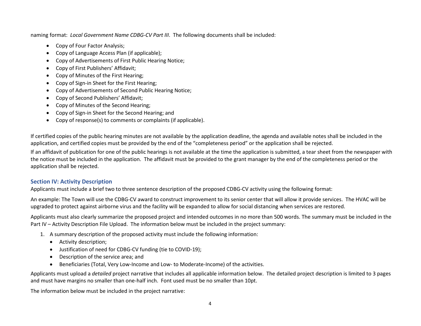naming format: *Local Government Name CDBG-CV Part III*. The following documents shall be included:

- Copy of Four Factor Analysis;
- Copy of Language Access Plan (if applicable);
- Copy of Advertisements of First Public Hearing Notice;
- Copy of First Publishers' Affidavit;
- Copy of Minutes of the First Hearing;
- Copy of Sign-in Sheet for the First Hearing;
- Copy of Advertisements of Second Public Hearing Notice;
- Copy of Second Publishers' Affidavit;
- Copy of Minutes of the Second Hearing;
- Copy of Sign-in Sheet for the Second Hearing; and
- Copy of response(s) to comments or complaints (if applicable).

If certified copies of the public hearing minutes are not available by the application deadline, the agenda and available notes shall be included in the application, and certified copies must be provided by the end of the "completeness period" or the application shall be rejected.

If an affidavit of publication for one of the public hearings is not available at the time the application is submitted, a tear sheet from the newspaper with the notice must be included in the application. The affidavit must be provided to the grant manager by the end of the completeness period or the application shall be rejected.

# **Section IV: Activity Description**

Applicants must include a brief two to three sentence description of the proposed CDBG-CV activity using the following format:

An example: The Town will use the CDBG-CV award to construct improvement to its senior center that will allow it provide services. The HVAC will be upgraded to protect against airborne virus and the facility will be expanded to allow for social distancing when services are restored.

Applicants must also clearly summarize the proposed project and intended outcomes in no more than 500 words. The summary must be included in the Part IV – Activity Description File Upload. The information below must be included in the project summary:

- 1. A summary description of the proposed activity must include the following information:
	- Activity description;
	- Justification of need for CDBG-CV funding (tie to COVID-19);
	- Description of the service area; and
	- Beneficiaries (Total, Very Low-Income and Low- to Moderate-Income) of the activities.

Applicants must upload a *detailed* project narrative that includes all applicable information below. The detailed project description is limited to 3 pages and must have margins no smaller than one-half inch. Font used must be no smaller than 10pt.

The information below must be included in the project narrative: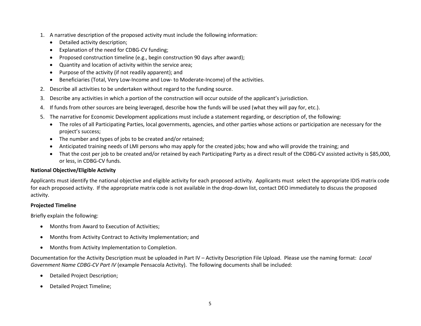- 1. A narrative description of the proposed activity must include the following information:
	- Detailed activity description;
	- Explanation of the need for CDBG-CV funding;
	- Proposed construction timeline (e.g., begin construction 90 days after award);
	- Quantity and location of activity within the service area;
	- Purpose of the activity (if not readily apparent); and
	- Beneficiaries (Total, Very Low-Income and Low- to Moderate-Income) of the activities.
- 2. Describe all activities to be undertaken without regard to the funding source.
- 3. Describe any activities in which a portion of the construction will occur outside of the applicant's jurisdiction.
- 4. If funds from other sources are being leveraged, describe how the funds will be used (what they will pay for, etc.).
- 5. The narrative for Economic Development applications must include a statement regarding, or description of, the following:
	- The roles of all Participating Parties, local governments, agencies, and other parties whose actions or participation are necessary for the project's success;
	- The number and types of jobs to be created and/or retained;
	- Anticipated training needs of LMI persons who may apply for the created jobs; how and who will provide the training; and
	- That the cost per job to be created and/or retained by each Participating Party as a direct result of the CDBG-CV assisted activity is \$85,000, or less, in CDBG-CV funds.

# **National Objective/Eligible Activity**

Applicants must identify the national objective and eligible activity for each proposed activity. Applicants must select the appropriate IDIS matrix code for each proposed activity. If the appropriate matrix code is not available in the drop-down list, contact DEO immediately to discuss the proposed activity.

#### **Projected Timeline**

Briefly explain the following:

- Months from Award to Execution of Activities;
- Months from Activity Contract to Activity Implementation; and
- Months from Activity Implementation to Completion.

Documentation for the Activity Description must be uploaded in Part IV – Activity Description File Upload. Please use the naming format: *Local Government Name CDBG-CV Part IV* (example Pensacola Activity). The following documents shall be included:

- Detailed Project Description;
- Detailed Project Timeline;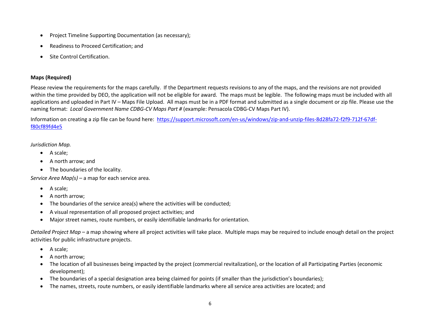- Project Timeline Supporting Documentation (as necessary);
- Readiness to Proceed Certification; and
- Site Control Certification.

#### **Maps (Required)**

Please review the requirements for the maps carefully. If the Department requests revisions to any of the maps, and the revisions are not provided within the time provided by DEO, the application will not be eligible for award. The maps must be legible. The following maps must be included with all applications and uploaded in Part IV – Maps File Upload. All maps must be in a PDF format and submitted as a single document or zip file. Please use the naming format: *Local Government Name CDBG-CV Maps Part #* (example: Pensacola CDBG-CV Maps Part IV).

Information on creating a zip file can be found here: [https://support.microsoft.com/en-us/windows/zip-and-unzip-files-8d28fa72-f2f9-712f-67df](https://support.microsoft.com/en-us/windows/zip-and-unzip-files-8d28fa72-f2f9-712f-67df-f80cf89fd4e5)[f80cf89fd4e5](https://support.microsoft.com/en-us/windows/zip-and-unzip-files-8d28fa72-f2f9-712f-67df-f80cf89fd4e5)

#### *Jurisdiction Map.*

- A scale;
- A north arrow; and
- The boundaries of the locality.

*Service Area Map(s)* – a map for each service area.

- A scale;
- A north arrow;
- The boundaries of the service area(s) where the activities will be conducted;
- A visual representation of all proposed project activities; and
- Major street names, route numbers, or easily identifiable landmarks for orientation.

*Detailed Project Map* – a map showing where all project activities will take place. Multiple maps may be required to include enough detail on the project activities for public infrastructure projects.

- A scale;
- A north arrow;
- The location of all businesses being impacted by the project (commercial revitalization), or the location of all Participating Parties (economic development);
- The boundaries of a special designation area being claimed for points (if smaller than the jurisdiction's boundaries);
- The names, streets, route numbers, or easily identifiable landmarks where all service area activities are located; and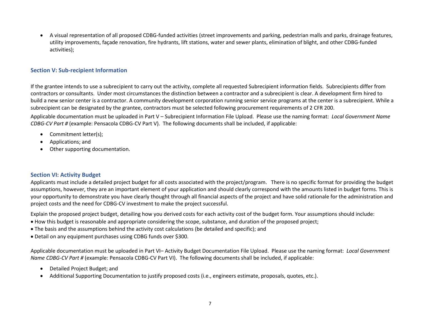• A visual representation of all proposed CDBG-funded activities (street improvements and parking, pedestrian malls and parks, drainage features, utility improvements, façade renovation, fire hydrants, lift stations, water and sewer plants, elimination of blight, and other CDBG-funded activities);

#### **Section V: Sub-recipient Information**

If the grantee intends to use a subrecipient to carry out the activity, complete all requested Subrecipient information fields. Subrecipients differ from contractors or consultants. Under most circumstances the distinction between a contractor and a subrecipient is clear. A development firm hired to build a new senior center is a contractor. A community development corporation running senior service programs at the center is a subrecipient. While a subrecipient can be designated by the grantee, contractors must be selected following procurement requirements of 2 CFR 200.

Applicable documentation must be uploaded in Part V – Subrecipient Information File Upload. Please use the naming format: *Local Government Name CDBG-CV Part #* (example: Pensacola CDBG-CV Part V). The following documents shall be included, if applicable:

- Commitment letter(s);
- Applications; and
- Other supporting documentation.

#### **Section VI: Activity Budget**

Applicants must include a detailed project budget for all costs associated with the project/program. There is no specific format for providing the budget assumptions, however, they are an important element of your application and should clearly correspond with the amounts listed in budget forms. This is your opportunity to demonstrate you have clearly thought through all financial aspects of the project and have solid rationale for the administration and project costs and the need for CDBG-CV investment to make the project successful.

Explain the proposed project budget, detailing how you derived costs for each activity cost of the budget form. Your assumptions should include:

- How this budget is reasonable and appropriate considering the scope, substance, and duration of the proposed project;
- The basis and the assumptions behind the activity cost calculations (be detailed and specific); and
- Detail on any equipment purchases using CDBG funds over \$300.

Applicable documentation must be uploaded in Part VI– Activity Budget Documentation File Upload. Please use the naming format: *Local Government Name CDBG-CV Part #* (example: Pensacola CDBG-CV Part VI). The following documents shall be included, if applicable:

- Detailed Project Budget; and
- Additional Supporting Documentation to justify proposed costs (i.e., engineers estimate, proposals, quotes, etc.).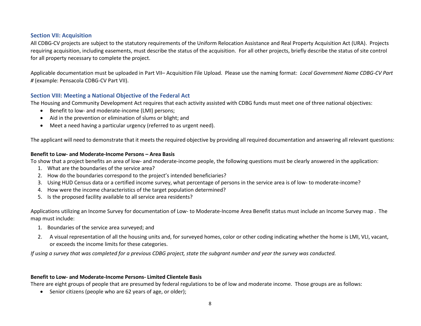#### **Section VII: Acquisition**

All CDBG-CV projects are subject to the statutory requirements of the Uniform Relocation Assistance and Real Property Acquisition Act (URA). Projects requiring acquisition, including easements, must describe the status of the acquisition. For all other projects, briefly describe the status of site control for all property necessary to complete the project.

Applicable documentation must be uploaded in Part VII– Acquisition File Upload. Please use the naming format: *Local Government Name CDBG-CV Part #* (example: Pensacola CDBG-CV Part VII).

### **Section VIII: Meeting a National Objective of the Federal Act**

The Housing and Community Development Act requires that each activity assisted with CDBG funds must meet one of three national objectives:

- Benefit to low- and moderate-income (LMI) persons;
- Aid in the prevention or elimination of slums or blight; and
- Meet a need having a particular urgency (referred to as urgent need).

The applicant will need to demonstrate that it meets the required objective by providing all required documentation and answering all relevant questions:

#### **Benefit to Low- and Moderate-Income Persons – Area Basis**

To show that a project benefits an area of low- and moderate-income people, the following questions must be clearly answered in the application:

- 1. What are the boundaries of the service area?
- 2. How do the boundaries correspond to the project's intended beneficiaries?
- 3. Using HUD Census data or a certified income survey, what percentage of persons in the service area is of low- to moderate-income?
- 4. How were the income characteristics of the target population determined?
- 5. Is the proposed facility available to all service area residents?

Applications utilizing an Income Survey for documentation of Low- to Moderate-Income Area Benefit status must include an Income Survey map . The map must include:

- 1. Boundaries of the service area surveyed; and
- 2. A visual representation of all the housing units and, for surveyed homes, color or other coding indicating whether the home is LMI, VLI, vacant, or exceeds the income limits for these categories.

*If using a survey that was completed for a previous CDBG project, state the subgrant number and year the survey was conducted.*

#### **Benefit to Low- and Moderate-Income Persons- Limited Clientele Basis**

There are eight groups of people that are presumed by federal regulations to be of low and moderate income. Those groups are as follows:

• Senior citizens (people who are 62 years of age, or older);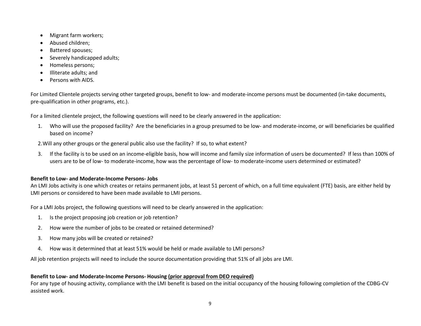- Migrant farm workers;
- Abused children;
- Battered spouses;
- Severely handicapped adults;
- Homeless persons;
- Illiterate adults; and
- Persons with AIDS.

For Limited Clientele projects serving other targeted groups, benefit to low- and moderate-income persons must be documented (in-take documents, pre-qualification in other programs, etc.).

For a limited clientele project, the following questions will need to be clearly answered in the application:

1. Who will use the proposed facility? Are the beneficiaries in a group presumed to be low- and moderate-income, or will beneficiaries be qualified based on income?

2.Will any other groups or the general public also use the facility? If so, to what extent?

3. If the facility is to be used on an income-eligible basis, how will income and family size information of users be documented? If less than 100% of users are to be of low- to moderate-income, how was the percentage of low- to moderate-income users determined or estimated?

# **Benefit to Low- and Moderate-Income Persons- Jobs**

An LMI Jobs activity is one which creates or retains permanent jobs, at least 51 percent of which, on a full time equivalent (FTE) basis, are either held by LMI persons or considered to have been made available to LMI persons.

For a LMI Jobs project, the following questions will need to be clearly answered in the application:

- 1. Is the project proposing job creation or job retention?
- 2. How were the number of jobs to be created or retained determined?
- 3. How many jobs will be created or retained?
- 4. How was it determined that at least 51% would be held or made available to LMI persons?

All job retention projects will need to include the source documentation providing that 51% of all jobs are LMI.

# **Benefit to Low- and Moderate-Income Persons- Housing (prior approval from DEO required)**

For any type of housing activity, compliance with the LMI benefit is based on the initial occupancy of the housing following completion of the CDBG-CV assisted work.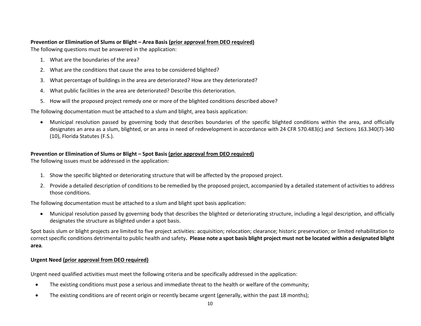#### **Prevention or Elimination of Slums or Blight – Area Basis (prior approval from DEO required)**

The following questions must be answered in the application:

- 1. What are the boundaries of the area?
- 2. What are the conditions that cause the area to be considered blighted?
- 3. What percentage of buildings in the area are deteriorated? How are they deteriorated?
- 4. What public facilities in the area are deteriorated? Describe this deterioration.
- 5. How will the proposed project remedy one or more of the blighted conditions described above?

The following documentation must be attached to a slum and blight, area basis application:

• Municipal resolution passed by governing body that describes boundaries of the specific blighted conditions within the area, and officially designates an area as a slum, blighted, or an area in need of redevelopment in accordance with 24 CFR 570.483(c) and Sections 163.340(7)-340 (10), Florida Statutes (F.S.).

# **Prevention or Elimination of Slums or Blight – Spot Basis (prior approval from DEO required)**

The following issues must be addressed in the application:

- 1. Show the specific blighted or deteriorating structure that will be affected by the proposed project.
- 2. Provide a detailed description of conditions to be remedied by the proposed project, accompanied by a detailed statement of activities to address those conditions.

The following documentation must be attached to a slum and blight spot basis application:

• Municipal resolution passed by governing body that describes the blighted or deteriorating structure, including a legal description, and officially designates the structure as blighted under a spot basis.

Spot basis slum or blight projects are limited to five project activities: acquisition; relocation; clearance; historic preservation; or limited rehabilitation to correct specific conditions detrimental to public health and safety**. Please note a spot basis blight project must not be located within a designated blight area***.*

# **Urgent Need (prior approval from DEO required)**

Urgent need qualified activities must meet the following criteria and be specifically addressed in the application:

- The existing conditions must pose a serious and immediate threat to the health or welfare of the community;
- The existing conditions are of recent origin or recently became urgent (generally, within the past 18 months);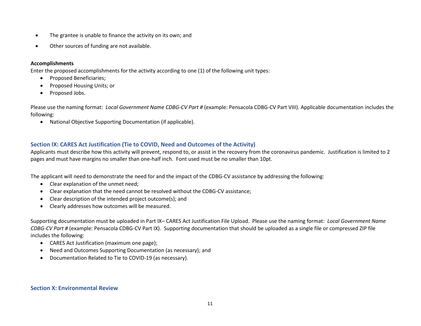- The grantee is unable to finance the activity on its own; and
- Other sources of funding are not available.

#### **Accomplishments**

Enter the proposed accomplishments for the activity according to one (1) of the following unit types:

- Proposed Beneficiaries;
- Proposed Housing Units; or
- Proposed Jobs.

Please use the naming format: *Local Government Name CDBG-CV Part #* (example: Pensacola CDBG-CV Part VIII). Applicable documentation includes the following:

• National Objective Supporting Documentation (if applicable).

# **Section IX: CARES Act Justification (Tie to COVID, Need and Outcomes of the Activity)**

Applicants must describe how this activity will prevent, respond to, or assist in the recovery from the coronavirus pandemic. Justification is limited to 2 pages and must have margins no smaller than one-half inch. Font used must be no smaller than 10pt.

The applicant will need to demonstrate the need for and the impact of the CDBG-CV assistance by addressing the following:

- Clear explanation of the unmet need;
- Clear explanation that the need cannot be resolved without the CDBG-CV assistance;
- Clear description of the intended project outcome(s); and
- Clearly addresses how outcomes will be measured.

Supporting documentation must be uploaded in Part IX– CARES Act Justification File Upload. Please use the naming format: *Local Government Name CDBG-CV Part #* (example: Pensacola CDBG-CV Part IX). Supporting documentation that should be uploaded as a single file or compressed ZIP file includes the following:

- CARES Act Justification (maximum one page);
- Need and Outcomes Supporting Documentation (as necessary); and
- Documentation Related to Tie to COVID-19 (as necessary).

# **Section X: Environmental Review**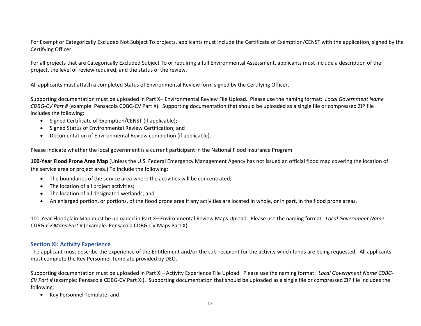For Exempt or Categorically Excluded Not Subject To projects, applicants must include the Certificate of Exemption/CENST with the application, signed by the Certifying Officer.

For all projects that are Categorically Excluded Subject To or requiring a full Environmental Assessment, applicants must include a description of the project, the level of review required, and the status of the review.

All applicants must attach a completed Status of Environmental Review form signed by the Certifying Officer.

Supporting documentation must be uploaded in Part X– Environmental Review File Upload. Please use the naming format: *Local Government Name CDBG-CV Part #* (example: Pensacola CDBG-CV Part X). Supporting documentation that should be uploaded as a single file or compressed ZIP file includes the following:

- Signed Certificate of Exemption/CENST (if applicable);
- Signed Status of Environmental Review Certification; and
- Documentation of Environmental Review completion (if applicable).

Please indicate whether the local government is a current participant in the National Flood Insurance Program.

**100-Year Flood Prone Area Map** (Unless the U.S. Federal Emergency Management Agency has not issued an official flood map covering the location of the service area or project area.) To include the following:

- The boundaries of the service area where the activities will be concentrated;
- The location of all project activities;
- The location of all designated wetlands; and
- An enlarged portion, or portions, of the flood prone area if any activities are located in whole, or in part, in the flood prone areas.

100-Year Floodplain Map must be uploaded in Part X– Environmental Review Maps Upload. Please use the naming format: *Local Government Name CDBG-CV Maps Part #* (example: Pensacola CDBG-CV Maps Part X).

#### **Section XI: Activity Experience**

The applicant must describe the experience of the Entitlement and/or the sub-recipient for the activity which funds are being requested. All applicants must complete the Key Personnel Template provided by DEO.

Supporting documentation must be uploaded in Part XI– Activity Experience File Upload. Please use the naming format: *Local Government Name CDBG-CV Part #* (example: Pensacola CDBG-CV Part XI). Supporting documentation that should be uploaded as a single file or compressed ZIP file includes the following:

• Key Personnel Template; and